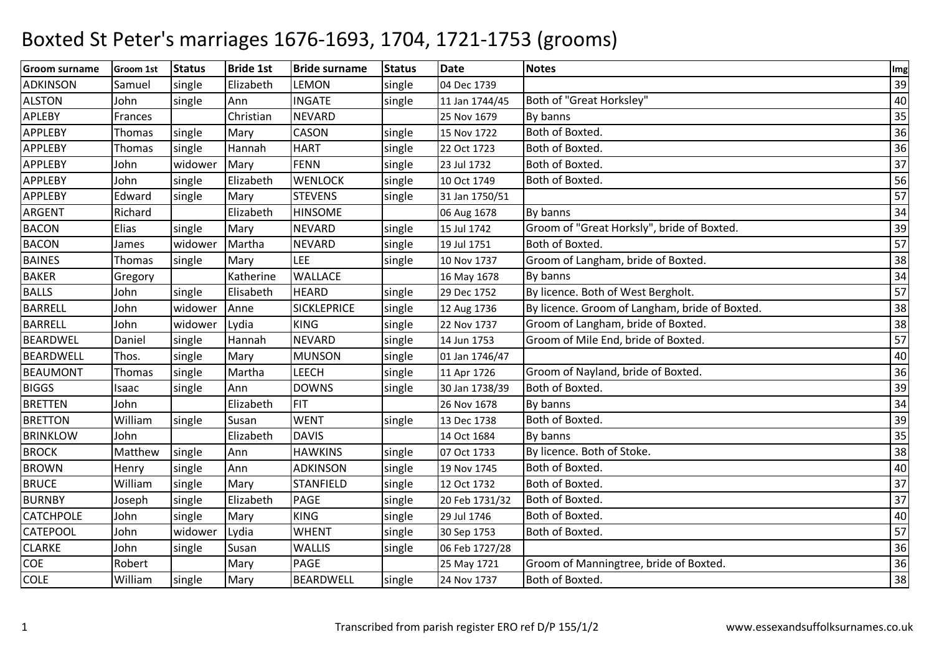| <b>Groom surname</b> | Groom 1st     | <b>Status</b> | <b>Bride 1st</b> | <b>Bride surname</b> | <b>Status</b> | Date           | <b>Notes</b>                                   | Img             |
|----------------------|---------------|---------------|------------------|----------------------|---------------|----------------|------------------------------------------------|-----------------|
| <b>ADKINSON</b>      | Samuel        | single        | Elizabeth        | LEMON                | single        | 04 Dec 1739    |                                                | 39              |
| <b>ALSTON</b>        | John          | single        | Ann              | <b>INGATE</b>        | single        | 11 Jan 1744/45 | Both of "Great Horksley"                       | 40              |
| APLEBY               | Frances       |               | Christian        | <b>NEVARD</b>        |               | 25 Nov 1679    | By banns                                       | 35              |
| APPLEBY              | <b>Thomas</b> | single        | Mary             | CASON                | single        | 15 Nov 1722    | Both of Boxted.                                | 36              |
| <b>APPLEBY</b>       | Thomas        | single        | Hannah           | <b>HART</b>          | single        | 22 Oct 1723    | Both of Boxted.                                | 36              |
| <b>APPLEBY</b>       | John          | widower       | Mary             | <b>FENN</b>          | single        | 23 Jul 1732    | Both of Boxted.                                | 37              |
| <b>APPLEBY</b>       | John          | single        | Elizabeth        | <b>WENLOCK</b>       | single        | 10 Oct 1749    | Both of Boxted.                                | 56              |
| APPLEBY              | Edward        | single        | Mary             | <b>STEVENS</b>       | single        | 31 Jan 1750/51 |                                                | 57              |
| ARGENT               | Richard       |               | Elizabeth        | <b>HINSOME</b>       |               | 06 Aug 1678    | By banns                                       | 34              |
| <b>BACON</b>         | Elias         | single        | Mary             | <b>NEVARD</b>        | single        | 15 Jul 1742    | Groom of "Great Horksly", bride of Boxted.     | 39              |
| <b>BACON</b>         | James         | widower       | Martha           | <b>NEVARD</b>        | single        | 19 Jul 1751    | Both of Boxted.                                | 57              |
| <b>BAINES</b>        | Thomas        | single        | Mary             | <b>LEE</b>           | single        | 10 Nov 1737    | Groom of Langham, bride of Boxted.             | 38              |
| <b>BAKER</b>         | Gregory       |               | Katherine        | <b>WALLACE</b>       |               | 16 May 1678    | By banns                                       | 34              |
| <b>BALLS</b>         | John          | single        | Elisabeth        | <b>HEARD</b>         | single        | 29 Dec 1752    | By licence. Both of West Bergholt.             | $\overline{57}$ |
| <b>BARRELL</b>       | John          | widower       | Anne             | <b>SICKLEPRICE</b>   | single        | 12 Aug 1736    | By licence. Groom of Langham, bride of Boxted. | 38              |
| <b>BARRELL</b>       | John          | widower       | Lydia            | <b>KING</b>          | single        | 22 Nov 1737    | Groom of Langham, bride of Boxted.             | 38              |
| <b>BEARDWEL</b>      | Daniel        | single        | Hannah           | <b>NEVARD</b>        | single        | 14 Jun 1753    | Groom of Mile End, bride of Boxted.            | 57              |
| <b>BEARDWELL</b>     | Thos.         | single        | Mary             | <b>MUNSON</b>        | single        | 01 Jan 1746/47 |                                                | 40              |
| <b>BEAUMONT</b>      | Thomas        | single        | Martha           | <b>LEECH</b>         | single        | 11 Apr 1726    | Groom of Nayland, bride of Boxted.             | 36              |
| <b>BIGGS</b>         | Isaac         | single        | Ann              | <b>DOWNS</b>         | single        | 30 Jan 1738/39 | Both of Boxted.                                | 39              |
| <b>BRETTEN</b>       | John          |               | Elizabeth        | <b>FIT</b>           |               | 26 Nov 1678    | By banns                                       | 34              |
| <b>BRETTON</b>       | William       | single        | Susan            | <b>WENT</b>          | single        | 13 Dec 1738    | Both of Boxted.                                | 39              |
| <b>BRINKLOW</b>      | John          |               | Elizabeth        | <b>DAVIS</b>         |               | 14 Oct 1684    | By banns                                       | 35              |
| <b>BROCK</b>         | Matthew       | single        | Ann              | <b>HAWKINS</b>       | single        | 07 Oct 1733    | By licence. Both of Stoke.                     | 38              |
| <b>BROWN</b>         | Henry         | single        | Ann              | <b>ADKINSON</b>      | single        | 19 Nov 1745    | Both of Boxted.                                | 40              |
| <b>BRUCE</b>         | William       | single        | Mary             | <b>STANFIELD</b>     | single        | 12 Oct 1732    | Both of Boxted.                                | 37              |
| <b>BURNBY</b>        | Joseph        | single        | Elizabeth        | <b>PAGE</b>          | single        | 20 Feb 1731/32 | Both of Boxted.                                | 37              |
| <b>CATCHPOLE</b>     | John          | single        | Mary             | <b>KING</b>          | single        | 29 Jul 1746    | Both of Boxted.                                | 40              |
| <b>CATEPOOL</b>      | John          | widower       | Lydia            | <b>WHENT</b>         | single        | 30 Sep 1753    | Both of Boxted.                                | 57              |
| <b>CLARKE</b>        | John          | single        | Susan            | <b>WALLIS</b>        | single        | 06 Feb 1727/28 |                                                | 36              |
| COE                  | Robert        |               | Mary             | <b>PAGE</b>          |               | 25 May 1721    | Groom of Manningtree, bride of Boxted.         | 36              |
| <b>COLE</b>          | William       | single        | Mary             | <b>BEARDWELL</b>     | single        | 24 Nov 1737    | Both of Boxted.                                | 38              |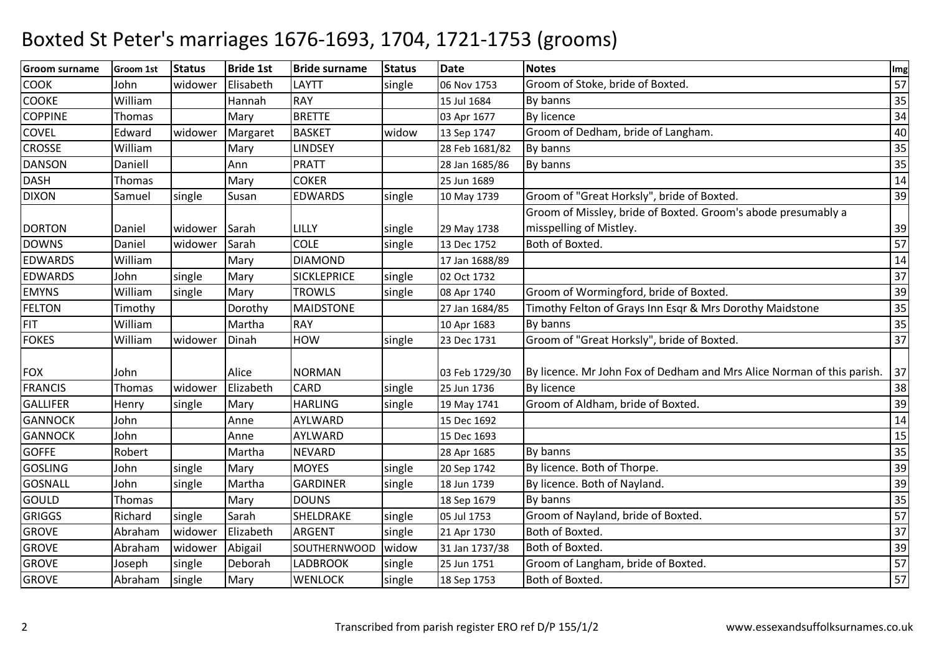| <b>Groom surname</b> | Groom 1st     | <b>Status</b> | <b>Bride 1st</b> | <b>Bride surname</b> | <b>Status</b> | <b>Date</b>    | <b>Notes</b>                                                           | Img             |
|----------------------|---------------|---------------|------------------|----------------------|---------------|----------------|------------------------------------------------------------------------|-----------------|
| <b>COOK</b>          | John          | widower       | Elisabeth        | LAYTT                | single        | 06 Nov 1753    | Groom of Stoke, bride of Boxted.                                       | 57              |
| COOKE                | William       |               | Hannah           | <b>RAY</b>           |               | 15 Jul 1684    | By banns                                                               | 35              |
| <b>COPPINE</b>       | Thomas        |               | Mary             | <b>BRETTE</b>        |               | 03 Apr 1677    | By licence                                                             | 34              |
| COVEL                | Edward        | widower       | Margaret         | <b>BASKET</b>        | widow         | 13 Sep 1747    | Groom of Dedham, bride of Langham.                                     | 40              |
| <b>CROSSE</b>        | William       |               | Mary             | <b>LINDSEY</b>       |               | 28 Feb 1681/82 | By banns                                                               | 35              |
| <b>DANSON</b>        | Daniell       |               | Ann              | <b>PRATT</b>         |               | 28 Jan 1685/86 | By banns                                                               | 35              |
| <b>DASH</b>          | Thomas        |               | Mary             | <b>COKER</b>         |               | 25 Jun 1689    |                                                                        | 14              |
| <b>DIXON</b>         | Samuel        | single        | Susan            | <b>EDWARDS</b>       | single        | 10 May 1739    | Groom of "Great Horksly", bride of Boxted.                             | 39              |
|                      |               |               |                  |                      |               |                | Groom of Missley, bride of Boxted. Groom's abode presumably a          |                 |
| <b>DORTON</b>        | Daniel        | widower       | Sarah            | LILLY                | single        | 29 May 1738    | misspelling of Mistley.                                                | 39              |
| <b>DOWNS</b>         | Daniel        | widower       | Sarah            | <b>COLE</b>          | single        | 13 Dec 1752    | Both of Boxted.                                                        | 57              |
| <b>EDWARDS</b>       | William       |               | Mary             | <b>DIAMOND</b>       |               | 17 Jan 1688/89 |                                                                        | 14              |
| <b>EDWARDS</b>       | John          | single        | Mary             | <b>SICKLEPRICE</b>   | single        | 02 Oct 1732    |                                                                        | 37              |
| <b>EMYNS</b>         | William       | single        | Mary             | <b>TROWLS</b>        | single        | 08 Apr 1740    | Groom of Wormingford, bride of Boxted.                                 | 39              |
| <b>FELTON</b>        | Timothy       |               | Dorothy          | <b>MAIDSTONE</b>     |               | 27 Jan 1684/85 | Timothy Felton of Grays Inn Esqr & Mrs Dorothy Maidstone               | 35              |
| <b>FIT</b>           | William       |               | Martha           | <b>RAY</b>           |               | 10 Apr 1683    | By banns                                                               | 35              |
| <b>FOKES</b>         | William       | widower       | Dinah            | <b>HOW</b>           | single        | 23 Dec 1731    | Groom of "Great Horksly", bride of Boxted.                             | 37              |
| <b>FOX</b>           | John          |               | Alice            | <b>NORMAN</b>        |               | 03 Feb 1729/30 | By licence. Mr John Fox of Dedham and Mrs Alice Norman of this parish. | 37              |
| <b>FRANCIS</b>       | Thomas        | widower       | Elizabeth        | <b>CARD</b>          | single        | 25 Jun 1736    | <b>By licence</b>                                                      | 38              |
| <b>GALLIFER</b>      | Henry         | single        | Mary             | <b>HARLING</b>       | single        | 19 May 1741    | Groom of Aldham, bride of Boxted.                                      | 39              |
| <b>GANNOCK</b>       | John          |               | Anne             | AYLWARD              |               | 15 Dec 1692    |                                                                        | 14              |
| <b>GANNOCK</b>       | John          |               | Anne             | AYLWARD              |               | 15 Dec 1693    |                                                                        | 15              |
| <b>GOFFE</b>         | Robert        |               | Martha           | <b>NEVARD</b>        |               | 28 Apr 1685    | By banns                                                               | 35              |
| <b>GOSLING</b>       | John          | single        | Mary             | <b>MOYES</b>         | single        | 20 Sep 1742    | By licence. Both of Thorpe.                                            | 39              |
| <b>GOSNALL</b>       | John          | single        | Martha           | <b>GARDINER</b>      | single        | 18 Jun 1739    | By licence. Both of Nayland.                                           | 39              |
| <b>GOULD</b>         | <b>Thomas</b> |               | Mary             | <b>DOUNS</b>         |               | 18 Sep 1679    | By banns                                                               | 35              |
| <b>GRIGGS</b>        | Richard       | single        | Sarah            | SHELDRAKE            | single        | 05 Jul 1753    | Groom of Nayland, bride of Boxted.                                     | $\overline{57}$ |
| <b>GROVE</b>         | Abraham       | widower       | Elizabeth        | <b>ARGENT</b>        | single        | 21 Apr 1730    | Both of Boxted.                                                        | 37              |
| <b>GROVE</b>         | Abraham       | widower       | Abigail          | SOUTHERNWOOD         | widow         | 31 Jan 1737/38 | Both of Boxted.                                                        | 39              |
| <b>GROVE</b>         | Joseph        | single        | Deborah          | <b>LADBROOK</b>      | single        | 25 Jun 1751    | Groom of Langham, bride of Boxted.                                     | 57              |
| <b>GROVE</b>         | Abraham       | single        | Mary             | <b>WENLOCK</b>       | single        | 18 Sep 1753    | Both of Boxted.                                                        | $\overline{57}$ |
|                      |               |               |                  |                      |               |                |                                                                        |                 |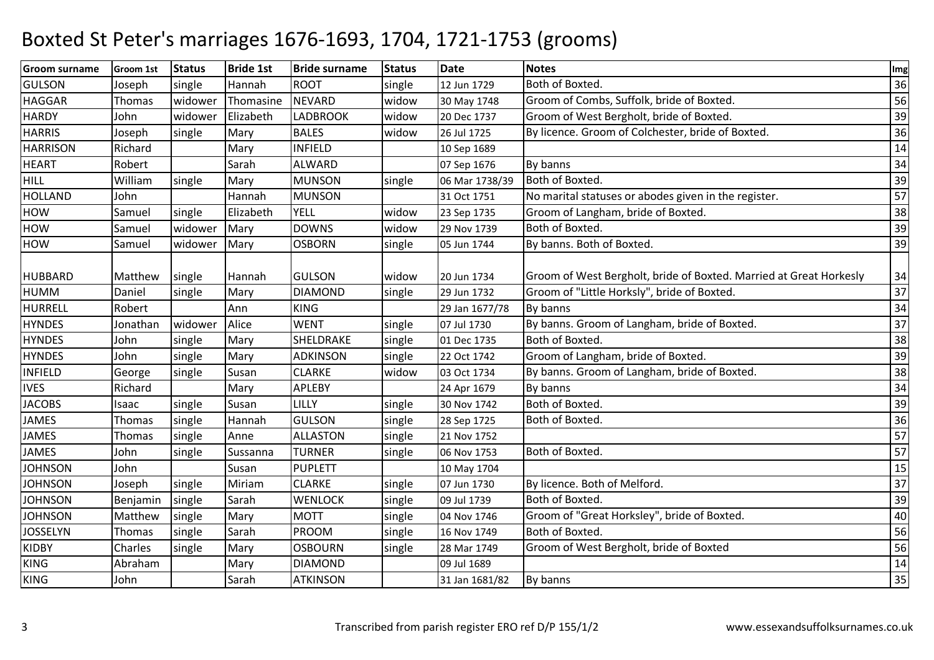| <b>Groom surname</b> | Groom 1st | <b>Status</b> | <b>Bride 1st</b> | <b>Bride surname</b> | <b>Status</b> | <b>Date</b>    | <b>Notes</b>                                                       | Img |
|----------------------|-----------|---------------|------------------|----------------------|---------------|----------------|--------------------------------------------------------------------|-----|
| <b>GULSON</b>        | Joseph    | single        | Hannah           | <b>ROOT</b>          | single        | 12 Jun 1729    | Both of Boxted.                                                    | 36  |
| <b>HAGGAR</b>        | Thomas    | widower       | Thomasine        | <b>NEVARD</b>        | widow         | 30 May 1748    | Groom of Combs, Suffolk, bride of Boxted.                          | 56  |
| <b>HARDY</b>         | John      | widower       | Elizabeth        | <b>LADBROOK</b>      | widow         | 20 Dec 1737    | Groom of West Bergholt, bride of Boxted.                           | 39  |
| <b>HARRIS</b>        | Joseph    | single        | Mary             | <b>BALES</b>         | widow         | 26 Jul 1725    | By licence. Groom of Colchester, bride of Boxted.                  | 36  |
| <b>HARRISON</b>      | Richard   |               | Mary             | <b>INFIELD</b>       |               | 10 Sep 1689    |                                                                    | 14  |
| <b>HEART</b>         | Robert    |               | Sarah            | <b>ALWARD</b>        |               | 07 Sep 1676    | By banns                                                           | 34  |
| <b>HILL</b>          | William   | single        | Mary             | <b>MUNSON</b>        | single        | 06 Mar 1738/39 | Both of Boxted.                                                    | 39  |
| <b>HOLLAND</b>       | John      |               | Hannah           | <b>MUNSON</b>        |               | 31 Oct 1751    | No marital statuses or abodes given in the register.               | 57  |
| HOW                  | Samuel    | single        | Elizabeth        | <b>YELL</b>          | widow         | 23 Sep 1735    | Groom of Langham, bride of Boxted.                                 | 38  |
| HOW                  | Samuel    | widower       | Mary             | <b>DOWNS</b>         | widow         | 29 Nov 1739    | Both of Boxted.                                                    | 39  |
| <b>HOW</b>           | Samuel    | widower       | Mary             | <b>OSBORN</b>        | single        | 05 Jun 1744    | By banns. Both of Boxted.                                          | 39  |
| <b>HUBBARD</b>       | Matthew   | single        | Hannah           | <b>GULSON</b>        | widow         | 20 Jun 1734    | Groom of West Bergholt, bride of Boxted. Married at Great Horkesly | 34  |
| <b>HUMM</b>          | Daniel    | single        | Mary             | <b>DIAMOND</b>       | single        | 29 Jun 1732    | Groom of "Little Horksly", bride of Boxted.                        | 37  |
| HURRELL              | Robert    |               | Ann              | <b>KING</b>          |               | 29 Jan 1677/78 | By banns                                                           | 34  |
| <b>HYNDES</b>        | Jonathan  | widower       | Alice            | <b>WENT</b>          | single        | 07 Jul 1730    | By banns. Groom of Langham, bride of Boxted.                       | 37  |
| <b>HYNDES</b>        | John      | single        | Mary             | SHELDRAKE            | single        | 01 Dec 1735    | Both of Boxted.                                                    | 38  |
| <b>HYNDES</b>        | John      | single        | Mary             | <b>ADKINSON</b>      | single        | 22 Oct 1742    | Groom of Langham, bride of Boxted.                                 | 39  |
| <b>INFIELD</b>       | George    | single        | Susan            | <b>CLARKE</b>        | widow         | 03 Oct 1734    | By banns. Groom of Langham, bride of Boxted.                       | 38  |
| <b>IVES</b>          | Richard   |               | Mary             | <b>APLEBY</b>        |               | 24 Apr 1679    | By banns                                                           | 34  |
| <b>JACOBS</b>        | Isaac     | single        | Susan            | LILLY                | single        | 30 Nov 1742    | Both of Boxted.                                                    | 39  |
| <b>JAMES</b>         | Thomas    | single        | Hannah           | <b>GULSON</b>        | single        | 28 Sep 1725    | Both of Boxted.                                                    | 36  |
| <b>JAMES</b>         | Thomas    | single        | Anne             | <b>ALLASTON</b>      | single        | 21 Nov 1752    |                                                                    | 57  |
| <b>JAMES</b>         | John      | single        | Sussanna         | <b>TURNER</b>        | single        | 06 Nov 1753    | Both of Boxted.                                                    | 57  |
| <b>JOHNSON</b>       | John      |               | Susan            | <b>PUPLETT</b>       |               | 10 May 1704    |                                                                    | 15  |
| <b>JOHNSON</b>       | Joseph    | single        | Miriam           | <b>CLARKE</b>        | single        | 07 Jun 1730    | By licence. Both of Melford.                                       | 37  |
| <b>JOHNSON</b>       | Benjamin  | single        | Sarah            | <b>WENLOCK</b>       | single        | 09 Jul 1739    | Both of Boxted.                                                    | 39  |
| <b>JOHNSON</b>       | Matthew   | single        | Mary             | <b>MOTT</b>          | single        | 04 Nov 1746    | Groom of "Great Horksley", bride of Boxted.                        | 40  |
| <b>JOSSELYN</b>      | Thomas    | single        | Sarah            | <b>PROOM</b>         | single        | 16 Nov 1749    | Both of Boxted.                                                    | 56  |
| <b>KIDBY</b>         | Charles   | single        | Mary             | <b>OSBOURN</b>       | single        | 28 Mar 1749    | Groom of West Bergholt, bride of Boxted                            | 56  |
| <b>KING</b>          | Abraham   |               | Mary             | <b>DIAMOND</b>       |               | 09 Jul 1689    |                                                                    | 14  |
| <b>KING</b>          | John      |               | Sarah            | <b>ATKINSON</b>      |               | 31 Jan 1681/82 | By banns                                                           | 35  |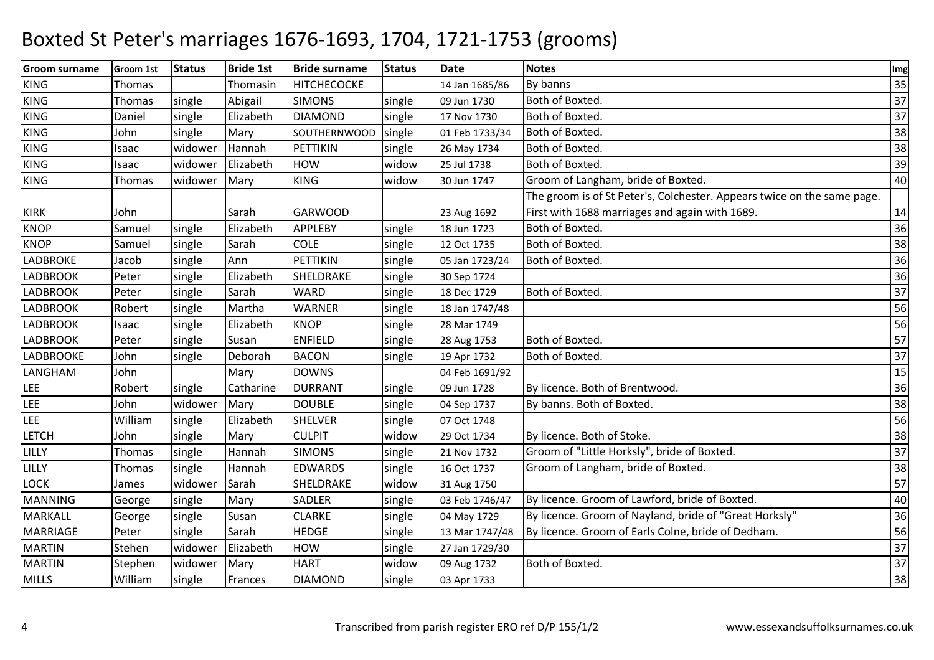| Groom surname    | Groom 1st | <b>Status</b> | <b>Bride 1st</b> | <b>Bride surname</b> | <b>Status</b> | <b>Date</b>    | <b>Notes</b>                                                            | Img |
|------------------|-----------|---------------|------------------|----------------------|---------------|----------------|-------------------------------------------------------------------------|-----|
| <b>KING</b>      | Thomas    |               | Thomasin         | <b>HITCHECOCKE</b>   |               | 14 Jan 1685/86 | By banns                                                                | 35  |
| <b>KING</b>      | Thomas    | single        | Abigail          | <b>SIMONS</b>        | single        | 09 Jun 1730    | Both of Boxted.                                                         | 37  |
| <b>KING</b>      | Daniel    | single        | Elizabeth        | <b>DIAMOND</b>       | single        | 17 Nov 1730    | Both of Boxted.                                                         | 37  |
| <b>KING</b>      | John      | single        | Mary             | SOUTHERNWOOD         | single        | 01 Feb 1733/34 | Both of Boxted.                                                         | 38  |
| <b>KING</b>      | Isaac     | widower       | Hannah           | <b>PETTIKIN</b>      | single        | 26 May 1734    | Both of Boxted.                                                         | 38  |
| <b>KING</b>      | Isaac     | widower       | Elizabeth        | <b>HOW</b>           | widow         | 25 Jul 1738    | Both of Boxted.                                                         | 39  |
| <b>KING</b>      | Thomas    | widower       | Mary             | <b>KING</b>          | widow         | 30 Jun 1747    | Groom of Langham, bride of Boxted.                                      | 40  |
|                  |           |               |                  |                      |               |                | The groom is of St Peter's, Colchester. Appears twice on the same page. |     |
| <b>KIRK</b>      | John      |               | Sarah            | <b>GARWOOD</b>       |               | 23 Aug 1692    | First with 1688 marriages and again with 1689.                          | 14  |
| <b>KNOP</b>      | Samuel    | single        | Elizabeth        | <b>APPLEBY</b>       | single        | 18 Jun 1723    | Both of Boxted.                                                         | 36  |
| <b>KNOP</b>      | Samuel    | single        | Sarah            | <b>COLE</b>          | single        | 12 Oct 1735    | Both of Boxted.                                                         | 38  |
| LADBROKE         | Jacob     | single        | Ann              | <b>PETTIKIN</b>      | single        | 05 Jan 1723/24 | Both of Boxted.                                                         | 36  |
| <b>LADBROOK</b>  | Peter     | single        | Elizabeth        | SHELDRAKE            | single        | 30 Sep 1724    |                                                                         | 36  |
| <b>LADBROOK</b>  | Peter     | single        | Sarah            | <b>WARD</b>          | single        | 18 Dec 1729    | Both of Boxted.                                                         | 37  |
| <b>LADBROOK</b>  | Robert    | single        | Martha           | <b>WARNER</b>        | single        | 18 Jan 1747/48 |                                                                         | 56  |
| <b>LADBROOK</b>  | Isaac     | single        | Elizabeth        | <b>KNOP</b>          | single        | 28 Mar 1749    |                                                                         | 56  |
| <b>LADBROOK</b>  | Peter     | single        | Susan            | <b>ENFIELD</b>       | single        | 28 Aug 1753    | Both of Boxted.                                                         | 57  |
| <b>LADBROOKE</b> | John      | single        | Deborah          | <b>BACON</b>         | single        | 19 Apr 1732    | Both of Boxted.                                                         | 37  |
| LANGHAM          | John      |               | Mary             | <b>DOWNS</b>         |               | 04 Feb 1691/92 |                                                                         | 15  |
| LEE              | Robert    | single        | Catharine        | <b>DURRANT</b>       | single        | 09 Jun 1728    | By licence. Both of Brentwood.                                          | 36  |
| LEE              | John      | widower       | Mary             | <b>DOUBLE</b>        | single        | 04 Sep 1737    | By banns. Both of Boxted.                                               | 38  |
| LEE              | William   | single        | Elizabeth        | <b>SHELVER</b>       | single        | 07 Oct 1748    |                                                                         | 56  |
| <b>LETCH</b>     | John      | single        | Mary             | <b>CULPIT</b>        | widow         | 29 Oct 1734    | By licence. Both of Stoke.                                              | 38  |
| LILLY            | Thomas    | single        | Hannah           | <b>SIMONS</b>        | single        | 21 Nov 1732    | Groom of "Little Horksly", bride of Boxted.                             | 37  |
| LILLY            | Thomas    | single        | Hannah           | <b>EDWARDS</b>       | single        | 16 Oct 1737    | Groom of Langham, bride of Boxted.                                      | 38  |
| LOCK             | James     | widower       | Sarah            | SHELDRAKE            | widow         | 31 Aug 1750    |                                                                         | 57  |
| <b>MANNING</b>   | George    | single        | Mary             | <b>SADLER</b>        | single        | 03 Feb 1746/47 | By licence. Groom of Lawford, bride of Boxted.                          | 40  |
| <b>MARKALL</b>   | George    | single        | Susan            | <b>CLARKE</b>        | single        | 04 May 1729    | By licence. Groom of Nayland, bride of "Great Horksly"                  | 36  |
| MARRIAGE         | Peter     | single        | Sarah            | <b>HEDGE</b>         | single        | 13 Mar 1747/48 | By licence. Groom of Earls Colne, bride of Dedham.                      | 56  |
| <b>MARTIN</b>    | Stehen    | widower       | Elizabeth        | <b>HOW</b>           | single        | 27 Jan 1729/30 |                                                                         | 37  |
| <b>MARTIN</b>    | Stephen   | widower       | Mary             | <b>HART</b>          | widow         | 09 Aug 1732    | Both of Boxted.                                                         | 37  |
| <b>MILLS</b>     | William   | single        | Frances          | <b>DIAMOND</b>       | single        | 03 Apr 1733    |                                                                         | 38  |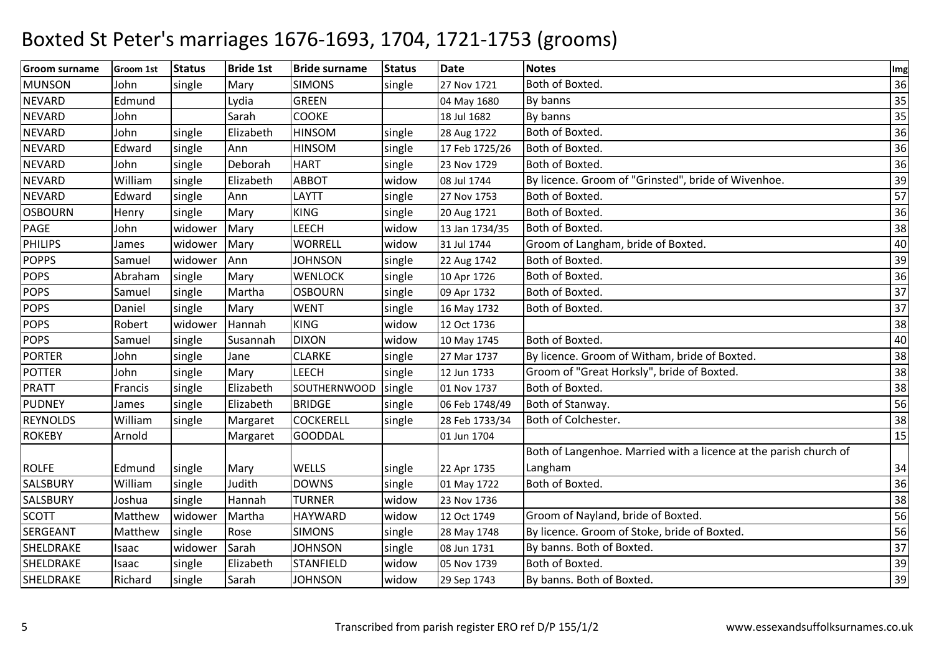| <b>Groom surname</b> | Groom 1st | <b>Status</b> | <b>Bride 1st</b> | <b>Bride surname</b> | <b>Status</b> | <b>Date</b>    | <b>Notes</b>                                                      | Img |
|----------------------|-----------|---------------|------------------|----------------------|---------------|----------------|-------------------------------------------------------------------|-----|
| <b>MUNSON</b>        | John      | single        | Mary             | <b>SIMONS</b>        | single        | 27 Nov 1721    | Both of Boxted.                                                   | 36  |
| <b>NEVARD</b>        | Edmund    |               | Lydia            | <b>GREEN</b>         |               | 04 May 1680    | By banns                                                          | 35  |
| <b>NEVARD</b>        | John      |               | Sarah            | COOKE                |               | 18 Jul 1682    | By banns                                                          | 35  |
| <b>NEVARD</b>        | John      | single        | Elizabeth        | <b>HINSOM</b>        | single        | 28 Aug 1722    | Both of Boxted.                                                   | 36  |
| <b>NEVARD</b>        | Edward    | single        | Ann              | <b>HINSOM</b>        | single        | 17 Feb 1725/26 | Both of Boxted.                                                   | 36  |
| <b>NEVARD</b>        | John      | single        | Deborah          | <b>HART</b>          | single        | 23 Nov 1729    | Both of Boxted.                                                   | 36  |
| <b>NEVARD</b>        | William   | single        | Elizabeth        | <b>ABBOT</b>         | widow         | 08 Jul 1744    | By licence. Groom of "Grinsted", bride of Wivenhoe.               | 39  |
| <b>NEVARD</b>        | Edward    | single        | Ann              | LAYTT                | single        | 27 Nov 1753    | Both of Boxted.                                                   | 57  |
| <b>OSBOURN</b>       | Henry     | single        | Mary             | <b>KING</b>          | single        | 20 Aug 1721    | Both of Boxted.                                                   | 36  |
| PAGE                 | John      | widower       | Mary             | <b>LEECH</b>         | widow         | 13 Jan 1734/35 | Both of Boxted.                                                   | 38  |
| <b>PHILIPS</b>       | James     | widower       | Mary             | <b>WORRELL</b>       | widow         | 31 Jul 1744    | Groom of Langham, bride of Boxted.                                | 40  |
| <b>POPPS</b>         | Samuel    | widower       | Ann              | <b>JOHNSON</b>       | single        | 22 Aug 1742    | Both of Boxted.                                                   | 39  |
| <b>POPS</b>          | Abraham   | single        | Mary             | <b>WENLOCK</b>       | single        | 10 Apr 1726    | Both of Boxted.                                                   | 36  |
| <b>POPS</b>          | Samuel    | single        | Martha           | <b>OSBOURN</b>       | single        | 09 Apr 1732    | Both of Boxted.                                                   | 37  |
| <b>POPS</b>          | Daniel    | single        | Mary             | <b>WENT</b>          | single        | 16 May 1732    | Both of Boxted.                                                   | 37  |
| <b>POPS</b>          | Robert    | widower       | Hannah           | <b>KING</b>          | widow         | 12 Oct 1736    |                                                                   | 38  |
| <b>POPS</b>          | Samuel    | single        | Susannah         | <b>DIXON</b>         | widow         | 10 May 1745    | Both of Boxted.                                                   | 40  |
| <b>PORTER</b>        | John      | single        | Jane             | <b>CLARKE</b>        | single        | 27 Mar 1737    | By licence. Groom of Witham, bride of Boxted.                     | 38  |
| <b>POTTER</b>        | John      | single        | Mary             | <b>LEECH</b>         | single        | 12 Jun 1733    | Groom of "Great Horksly", bride of Boxted.                        | 38  |
| <b>PRATT</b>         | Francis   | single        | Elizabeth        | SOUTHERNWOOD         | single        | 01 Nov 1737    | Both of Boxted.                                                   | 38  |
| <b>PUDNEY</b>        | James     | single        | Elizabeth        | <b>BRIDGE</b>        | single        | 06 Feb 1748/49 | Both of Stanway.                                                  | 56  |
| <b>REYNOLDS</b>      | William   | single        | Margaret         | <b>COCKERELL</b>     | single        | 28 Feb 1733/34 | Both of Colchester.                                               | 38  |
| <b>ROKEBY</b>        | Arnold    |               | Margaret         | <b>GOODDAL</b>       |               | 01 Jun 1704    |                                                                   | 15  |
|                      |           |               |                  |                      |               |                | Both of Langenhoe. Married with a licence at the parish church of |     |
| <b>ROLFE</b>         | Edmund    | single        | Mary             | <b>WELLS</b>         | single        | 22 Apr 1735    | Langham                                                           | 34  |
| <b>SALSBURY</b>      | William   | single        | Judith           | <b>DOWNS</b>         | single        | 01 May 1722    | Both of Boxted.                                                   | 36  |
| SALSBURY             | Joshua    | single        | Hannah           | <b>TURNER</b>        | widow         | 23 Nov 1736    |                                                                   | 38  |
| <b>SCOTT</b>         | Matthew   | widower       | Martha           | <b>HAYWARD</b>       | widow         | 12 Oct 1749    | Groom of Nayland, bride of Boxted.                                | 56  |
| SERGEANT             | Matthew   | single        | Rose             | <b>SIMONS</b>        | single        | 28 May 1748    | By licence. Groom of Stoke, bride of Boxted.                      | 56  |
| SHELDRAKE            | Isaac     | widower       | Sarah            | <b>JOHNSON</b>       | single        | 08 Jun 1731    | By banns. Both of Boxted.                                         | 37  |
| SHELDRAKE            | Isaac     | single        | Elizabeth        | <b>STANFIELD</b>     | widow         | 05 Nov 1739    | Both of Boxted.                                                   | 39  |
| SHELDRAKE            | Richard   | single        | Sarah            | <b>JOHNSON</b>       | widow         | 29 Sep 1743    | By banns. Both of Boxted.                                         | 39  |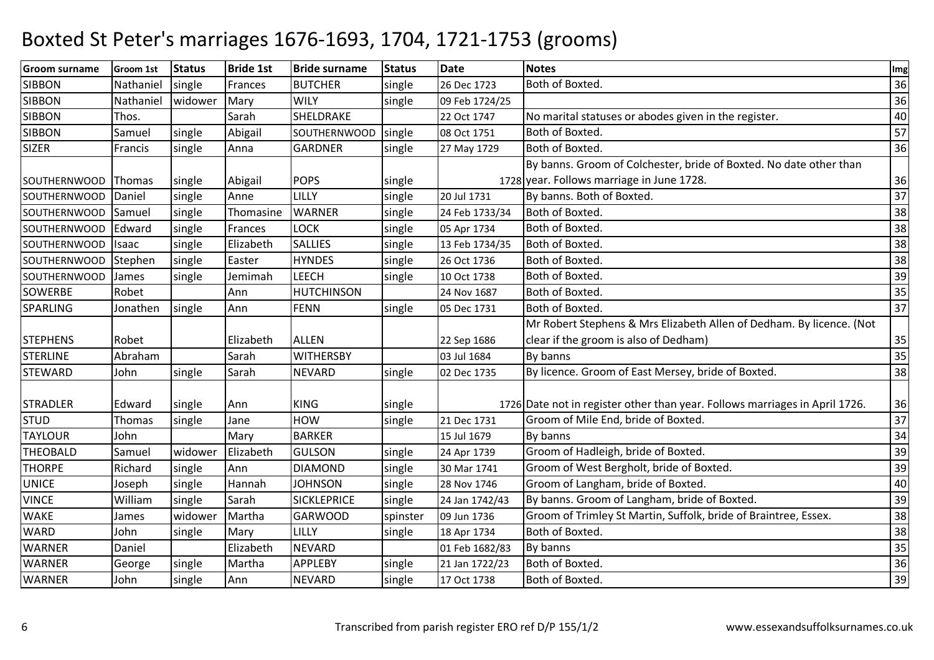| <b>Groom surname</b> | <b>Groom 1st</b> | <b>Status</b> | <b>Bride 1st</b> | <b>Bride surname</b> | <b>Status</b> | <b>Date</b>    | <b>Notes</b>                                                                | Img |
|----------------------|------------------|---------------|------------------|----------------------|---------------|----------------|-----------------------------------------------------------------------------|-----|
| <b>SIBBON</b>        | Nathaniel        | single        | Frances          | <b>BUTCHER</b>       | single        | 26 Dec 1723    | Both of Boxted.                                                             | 36  |
| <b>SIBBON</b>        | Nathaniel        | widower       | Mary             | <b>WILY</b>          | single        | 09 Feb 1724/25 |                                                                             | 36  |
| <b>SIBBON</b>        | Thos.            |               | Sarah            | SHELDRAKE            |               | 22 Oct 1747    | No marital statuses or abodes given in the register.                        | 40  |
| <b>SIBBON</b>        | Samuel           | single        | Abigail          | <b>SOUTHERNWOOD</b>  | single        | 08 Oct 1751    | Both of Boxted.                                                             | 57  |
| <b>SIZER</b>         | Francis          | single        | Anna             | <b>GARDNER</b>       | single        | 27 May 1729    | Both of Boxted.                                                             | 36  |
|                      |                  |               |                  |                      |               |                | By banns. Groom of Colchester, bride of Boxted. No date other than          |     |
| <b>SOUTHERNWOOD</b>  | Thomas           | single        | Abigail          | <b>POPS</b>          | single        |                | 1728 year. Follows marriage in June 1728.                                   | 36  |
| SOUTHERNWOOD         | Daniel           | single        | Anne             | LILLY                | single        | 20 Jul 1731    | By banns. Both of Boxted.                                                   | 37  |
| <b>SOUTHERNWOOD</b>  | Samuel           | single        | Thomasine        | <b>WARNER</b>        | single        | 24 Feb 1733/34 | Both of Boxted.                                                             | 38  |
| <b>SOUTHERNWOOD</b>  | Edward           | single        | Frances          | <b>LOCK</b>          | single        | 05 Apr 1734    | Both of Boxted.                                                             | 38  |
| SOUTHERNWOOD         | <b>Isaac</b>     | single        | Elizabeth        | <b>SALLIES</b>       | single        | 13 Feb 1734/35 | Both of Boxted.                                                             | 38  |
| <b>SOUTHERNWOOD</b>  | Stephen          | single        | Easter           | <b>HYNDES</b>        | single        | 26 Oct 1736    | Both of Boxted.                                                             | 38  |
| <b>SOUTHERNWOOD</b>  | James            | single        | Jemimah          | <b>LEECH</b>         | single        | 10 Oct 1738    | Both of Boxted.                                                             | 39  |
| <b>SOWERBE</b>       | Robet            |               | Ann              | <b>HUTCHINSON</b>    |               | 24 Nov 1687    | Both of Boxted.                                                             | 35  |
| <b>SPARLING</b>      | Jonathen         | single        | Ann              | <b>FENN</b>          | single        | 05 Dec 1731    | Both of Boxted.                                                             | 37  |
|                      |                  |               |                  |                      |               |                | Mr Robert Stephens & Mrs Elizabeth Allen of Dedham. By licence. (Not        |     |
| <b>STEPHENS</b>      | Robet            |               | Elizabeth        | <b>ALLEN</b>         |               | 22 Sep 1686    | clear if the groom is also of Dedham)                                       | 35  |
| <b>STERLINE</b>      | Abraham          |               | Sarah            | <b>WITHERSBY</b>     |               | 03 Jul 1684    | By banns                                                                    | 35  |
| <b>STEWARD</b>       | John             | single        | Sarah            | <b>NEVARD</b>        | single        | 02 Dec 1735    | By licence. Groom of East Mersey, bride of Boxted.                          | 38  |
|                      |                  |               |                  |                      |               |                |                                                                             |     |
| <b>STRADLER</b>      | Edward           | single        | Ann              | <b>KING</b>          | single        |                | 1726 Date not in register other than year. Follows marriages in April 1726. | 36  |
| <b>STUD</b>          | Thomas           | single        | Jane             | <b>HOW</b>           | single        | 21 Dec 1731    | Groom of Mile End, bride of Boxted.                                         | 37  |
| <b>TAYLOUR</b>       | John             |               | Mary             | <b>BARKER</b>        |               | 15 Jul 1679    | By banns                                                                    | 34  |
| <b>THEOBALD</b>      | Samuel           | widower       | Elizabeth        | <b>GULSON</b>        | single        | 24 Apr 1739    | Groom of Hadleigh, bride of Boxted.                                         | 39  |
| <b>THORPE</b>        | Richard          | single        | Ann              | <b>DIAMOND</b>       | single        | 30 Mar 1741    | Groom of West Bergholt, bride of Boxted.                                    | 39  |
| <b>UNICE</b>         | Joseph           | single        | Hannah           | <b>JOHNSON</b>       | single        | 28 Nov 1746    | Groom of Langham, bride of Boxted.                                          | 40  |
| <b>VINCE</b>         | William          | single        | Sarah            | <b>SICKLEPRICE</b>   | single        | 24 Jan 1742/43 | By banns. Groom of Langham, bride of Boxted.                                | 39  |
| <b>WAKE</b>          | James            | widower       | Martha           | <b>GARWOOD</b>       | spinster      | 09 Jun 1736    | Groom of Trimley St Martin, Suffolk, bride of Braintree, Essex.             | 38  |
| <b>WARD</b>          | John             | single        | Mary             | LILLY                | single        | 18 Apr 1734    | Both of Boxted.                                                             | 38  |
| <b>WARNER</b>        | Daniel           |               | Elizabeth        | <b>NEVARD</b>        |               | 01 Feb 1682/83 | By banns                                                                    | 35  |
| <b>WARNER</b>        | George           | single        | Martha           | <b>APPLEBY</b>       | single        | 21 Jan 1722/23 | Both of Boxted.                                                             | 36  |
| <b>WARNER</b>        | John             | single        | Ann              | <b>NEVARD</b>        | single        | 17 Oct 1738    | Both of Boxted.                                                             | 39  |